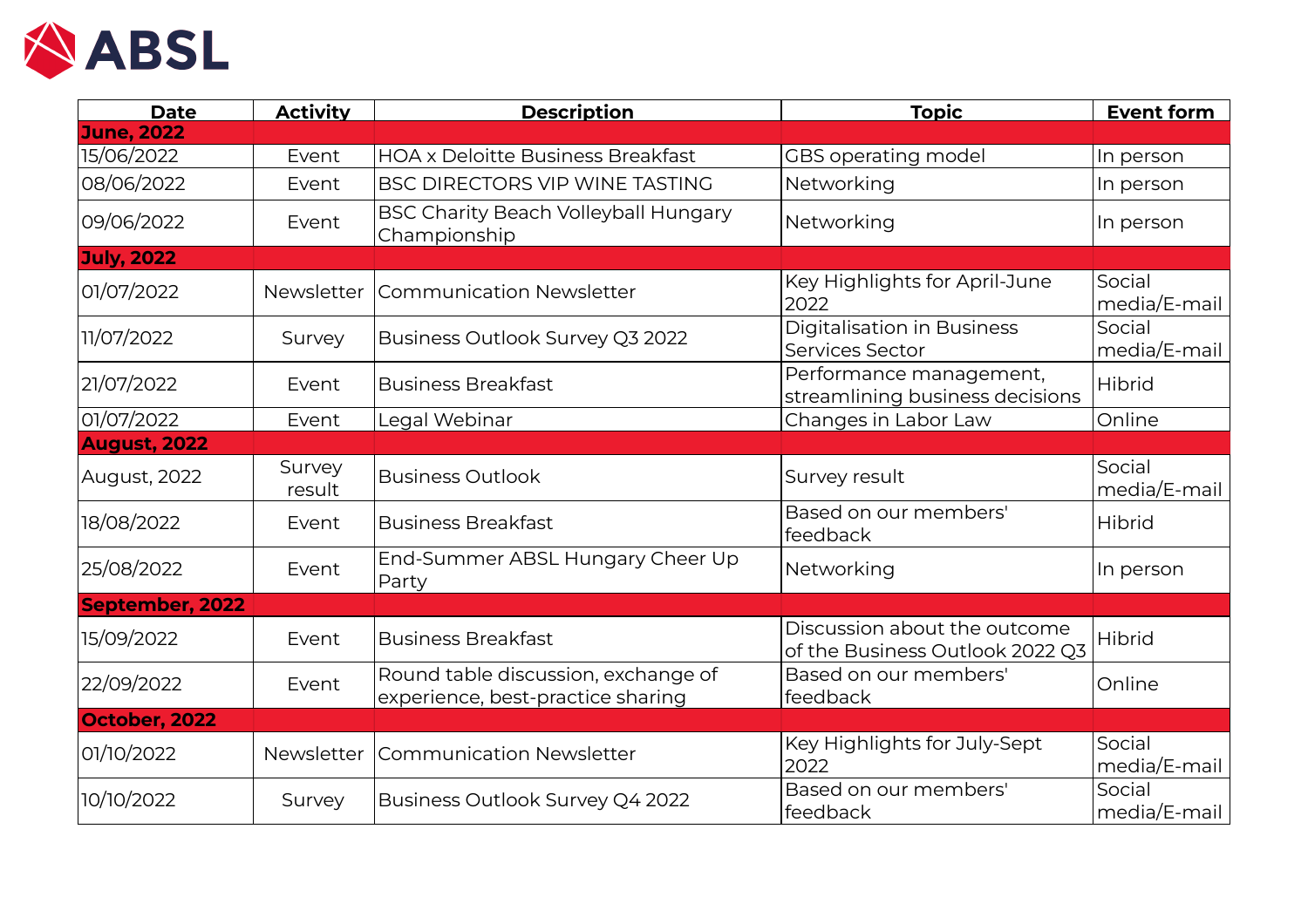

| <b>Date</b>            | <b>Activity</b>  | <b>Description</b>                                                       | <b>Topic</b>                                                    | <b>Event form</b>      |
|------------------------|------------------|--------------------------------------------------------------------------|-----------------------------------------------------------------|------------------------|
| <b>June, 2022</b>      |                  |                                                                          |                                                                 |                        |
| 15/06/2022             | Event            | <b>HOA x Deloitte Business Breakfast</b>                                 | GBS operating model                                             | In person              |
| 08/06/2022             | Event            | BSC DIRECTORS VIP WINE TASTING                                           | Networking                                                      | In person              |
| 09/06/2022             | Event            | <b>BSC Charity Beach Volleyball Hungary</b><br>Championship              | Networking                                                      | In person              |
| <b>July, 2022</b>      |                  |                                                                          |                                                                 |                        |
| 01/07/2022             | Newsletter       | <b>Communication Newsletter</b>                                          | Key Highlights for April-June<br>2022                           | Social<br>media/E-mail |
| 11/07/2022             | Survey           | Business Outlook Survey Q3 2022                                          | <b>Digitalisation in Business</b><br>Services Sector            | Social<br>media/E-mail |
| 21/07/2022             | Event            | <b>Business Breakfast</b>                                                | Performance management,<br>streamlining business decisions      | Hibrid                 |
| 01/07/2022             | Event            | Legal Webinar                                                            | Changes in Labor Law                                            | Online                 |
| <b>August, 2022</b>    |                  |                                                                          |                                                                 |                        |
| August, 2022           | Survey<br>result | <b>Business Outlook</b>                                                  | Survey result                                                   | Social<br>media/E-mail |
| 18/08/2022             | Event            | <b>Business Breakfast</b>                                                | Based on our members'<br>feedback                               | Hibrid                 |
| 25/08/2022             | Event            | End-Summer ABSL Hungary Cheer Up<br>Party                                | Networking                                                      | In person              |
| <b>September, 2022</b> |                  |                                                                          |                                                                 |                        |
| 15/09/2022             | Event            | <b>Business Breakfast</b>                                                | Discussion about the outcome<br>of the Business Outlook 2022 Q3 | Hibrid                 |
| 22/09/2022             | Event            | Round table discussion, exchange of<br>experience, best-practice sharing | Based on our members'<br>feedback                               | Online                 |
| October, 2022          |                  |                                                                          |                                                                 |                        |
| 01/10/2022             | Newsletter       | <b>Communication Newsletter</b>                                          | Key Highlights for July-Sept<br>2022                            | Social<br>media/E-mail |
| 10/10/2022             | Survey           | Business Outlook Survey Q4 2022                                          | Based on our members'<br>feedback                               | Social<br>media/E-mail |